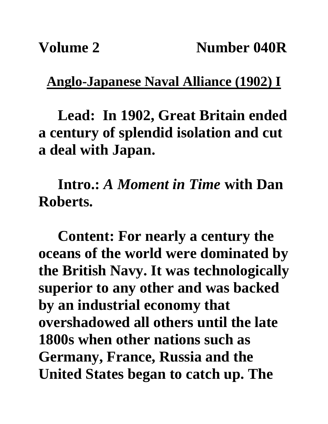## **Anglo-Japanese Naval Alliance (1902) I**

**Lead: In 1902, Great Britain ended a century of splendid isolation and cut a deal with Japan.**

**Intro.:** *A Moment in Time* **with Dan Roberts.**

**Content: For nearly a century the oceans of the world were dominated by the British Navy. It was technologically superior to any other and was backed by an industrial economy that overshadowed all others until the late 1800s when other nations such as Germany, France, Russia and the United States began to catch up. The**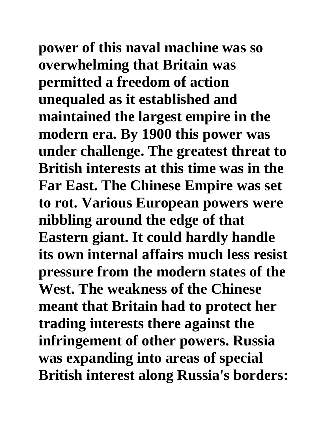**power of this naval machine was so overwhelming that Britain was permitted a freedom of action unequaled as it established and maintained the largest empire in the modern era. By 1900 this power was under challenge. The greatest threat to British interests at this time was in the Far East. The Chinese Empire was set to rot. Various European powers were nibbling around the edge of that Eastern giant. It could hardly handle its own internal affairs much less resist pressure from the modern states of the West. The weakness of the Chinese meant that Britain had to protect her trading interests there against the infringement of other powers. Russia was expanding into areas of special British interest along Russia's borders:**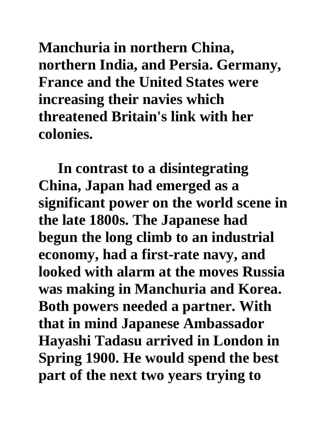**Manchuria in northern China, northern India, and Persia. Germany, France and the United States were increasing their navies which threatened Britain's link with her colonies.**

**In contrast to a disintegrating China, Japan had emerged as a significant power on the world scene in the late 1800s. The Japanese had begun the long climb to an industrial economy, had a first-rate navy, and looked with alarm at the moves Russia was making in Manchuria and Korea. Both powers needed a partner. With that in mind Japanese Ambassador Hayashi Tadasu arrived in London in Spring 1900. He would spend the best part of the next two years trying to**